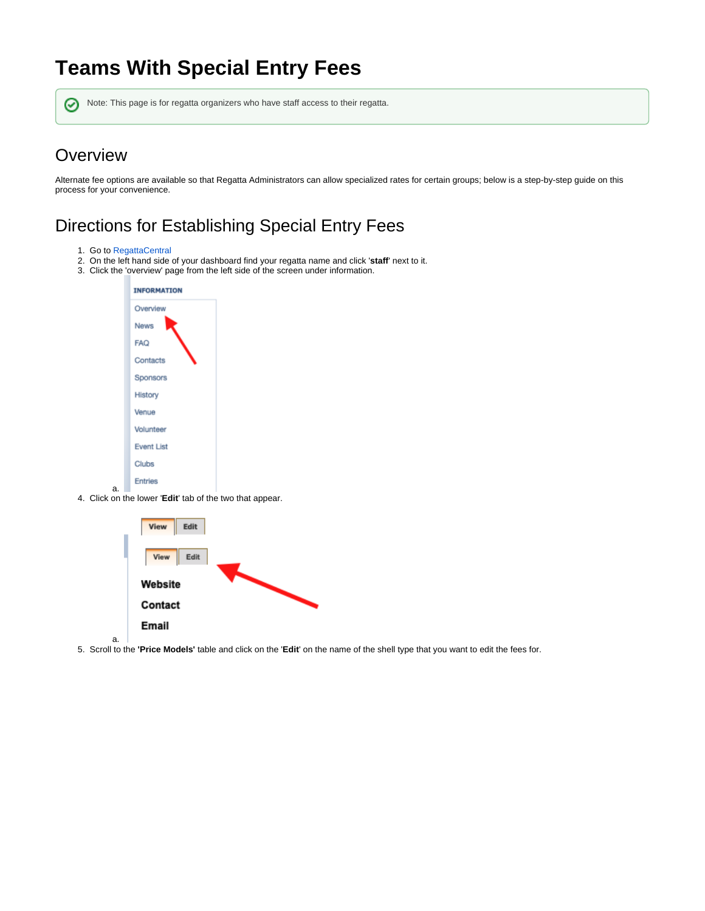## **Teams With Special Entry Fees**

の Note: This page is for regatta organizers who have staff access to their regatta.

## **Overview**

Alternate fee options are available so that Regatta Administrators can allow specialized rates for certain groups; below is a step-by-step guide on this process for your convenience.

## Directions for Establishing Special Entry Fees

- 1. Go to [RegattaCentral](https://www.regattacentral.com/)
- 2. On the left hand side of your dashboard find your regatta name and click '**staff**' next to it.
- 3. Click the 'overview' page from the left side of the screen under information.



a. 4. Click on the lower '**Edit**' tab of the two that appear.



5. Scroll to the **'Price Models'** table and click on the '**Edit**' on the name of the shell type that you want to edit the fees for.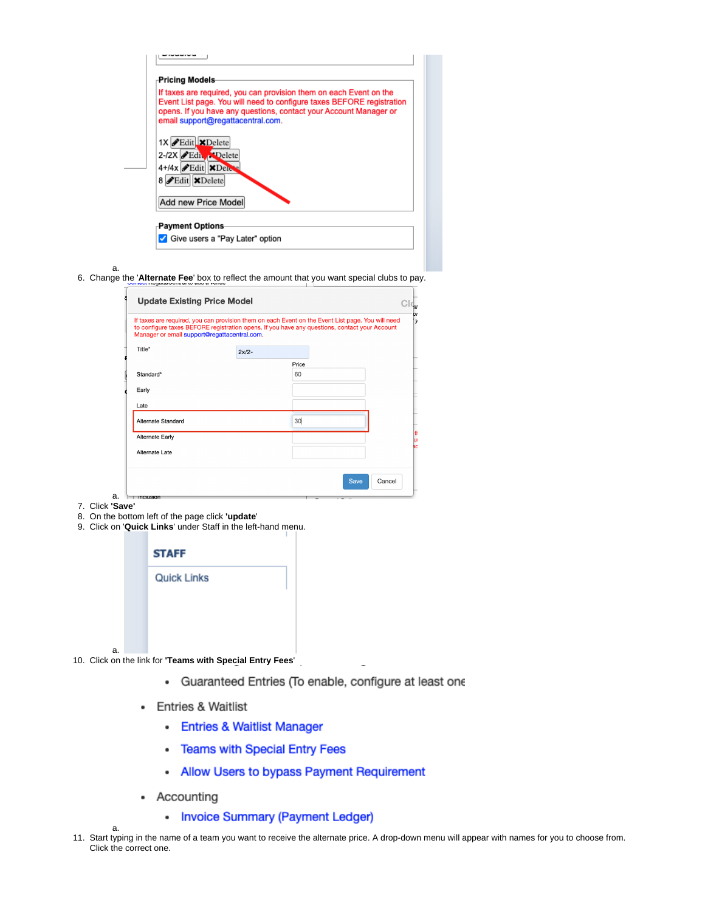| If taxes are required, you can provision them on each Event on the<br>Event List page. You will need to configure taxes BEFORE registration<br>opens. If you have any questions, contact your Account Manager or<br>email support@regattacentral.com.<br>1X Edit XDelete |  |
|--------------------------------------------------------------------------------------------------------------------------------------------------------------------------------------------------------------------------------------------------------------------------|--|
|                                                                                                                                                                                                                                                                          |  |
|                                                                                                                                                                                                                                                                          |  |
| 2-/2X Edit                                                                                                                                                                                                                                                               |  |
| 4+/4x Edit XDel                                                                                                                                                                                                                                                          |  |
| 8 Edit XDelete                                                                                                                                                                                                                                                           |  |
| Add new Price Model                                                                                                                                                                                                                                                      |  |

6. Change the '**Alternate Fee**' box to reflect the amount that you want special clubs to pay.

| Manager or email support@regattacentral.com. |         | If taxes are required, you can provision them on each Event on the Event List page. You will need<br>to configure taxes BEFORE registration opens. If you have any questions, contact your Account |  |
|----------------------------------------------|---------|----------------------------------------------------------------------------------------------------------------------------------------------------------------------------------------------------|--|
| Title*                                       | $2x/2-$ |                                                                                                                                                                                                    |  |
|                                              |         | Price                                                                                                                                                                                              |  |
| Standard*                                    |         | 60                                                                                                                                                                                                 |  |
| Early                                        |         |                                                                                                                                                                                                    |  |
| Late                                         |         |                                                                                                                                                                                                    |  |
| Alternate Standard                           |         | 30                                                                                                                                                                                                 |  |
| <b>Alternate Early</b>                       |         |                                                                                                                                                                                                    |  |
| Alternate Late                               |         |                                                                                                                                                                                                    |  |
|                                              |         |                                                                                                                                                                                                    |  |

7. Click **'Save'**

a.

- 8. On the bottom left of the page click **'update**'
- 9. Click on '**Quick Links**' under Staff in the left-hand menu.

|    | <b>STAFF</b>       |
|----|--------------------|
|    | <b>Quick Links</b> |
|    |                    |
|    |                    |
| a. |                    |

10. Click on the link for **'Teams with Special Entry Fees**'

- · Guaranteed Entries (To enable, configure at least one
- Entries & Waitlist
	- Entries & Waitlist Manager
	- Teams with Special Entry Fees
	- Allow Users to bypass Payment Requirement
- Accounting

a.

- Invoice Summary (Payment Ledger)
- 11. Start typing in the name of a team you want to receive the alternate price. A drop-down menu will appear with names for you to choose from. Click the correct one.